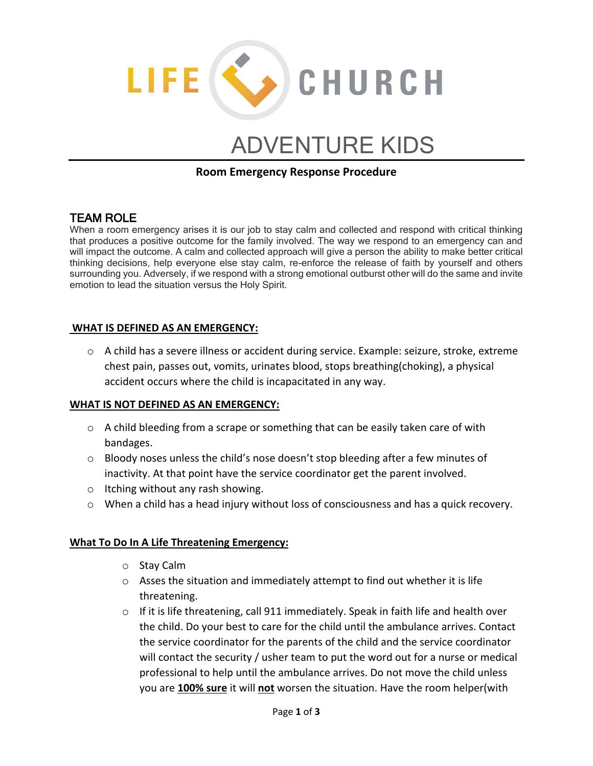

# ADVENTURE KIDS

## **Room Emergency Response Procedure**

# TEAM ROLE

When a room emergency arises it is our job to stay calm and collected and respond with critical thinking that produces a positive outcome for the family involved. The way we respond to an emergency can and will impact the outcome. A calm and collected approach will give a person the ability to make better critical thinking decisions, help everyone else stay calm, re-enforce the release of faith by yourself and others surrounding you. Adversely, if we respond with a strong emotional outburst other will do the same and invite emotion to lead the situation versus the Holy Spirit.

### **WHAT IS DEFINED AS AN EMERGENCY:**

o A child has a severe illness or accident during service. Example: seizure, stroke, extreme chest pain, passes out, vomits, urinates blood, stops breathing(choking), a physical accident occurs where the child is incapacitated in any way.

#### **WHAT IS NOT DEFINED AS AN EMERGENCY:**

- $\circ$  A child bleeding from a scrape or something that can be easily taken care of with bandages.
- $\circ$  Bloody noses unless the child's nose doesn't stop bleeding after a few minutes of inactivity. At that point have the service coordinator get the parent involved.
- o Itching without any rash showing.
- o When a child has a head injury without loss of consciousness and has a quick recovery.

#### **What To Do In A Life Threatening Emergency:**

- o Stay Calm
- o Asses the situation and immediately attempt to find out whether it is life threatening.
- o If it is life threatening, call 911 immediately. Speak in faith life and health over the child. Do your best to care for the child until the ambulance arrives. Contact the service coordinator for the parents of the child and the service coordinator will contact the security / usher team to put the word out for a nurse or medical professional to help until the ambulance arrives. Do not move the child unless you are **100% sure** it will **not** worsen the situation. Have the room helper(with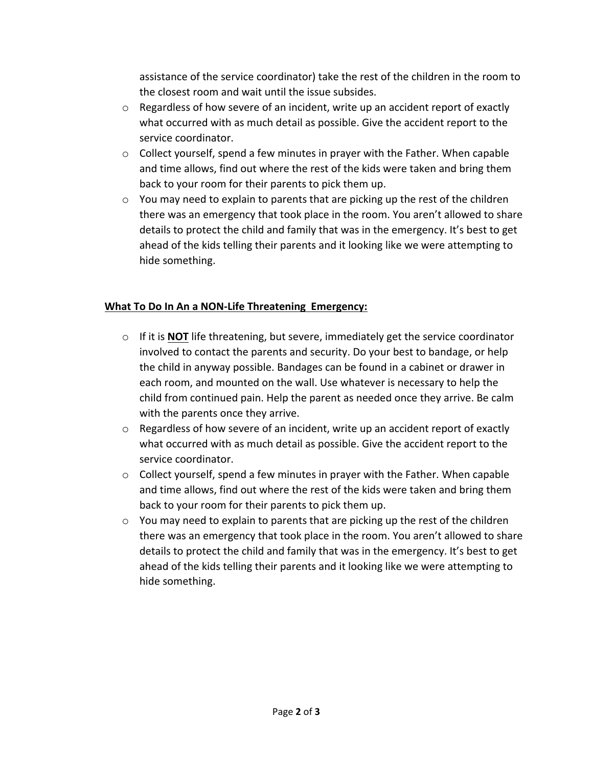assistance of the service coordinator) take the rest of the children in the room to the closest room and wait until the issue subsides.

- $\circ$  Regardless of how severe of an incident, write up an accident report of exactly what occurred with as much detail as possible. Give the accident report to the service coordinator.
- o Collect yourself, spend a few minutes in prayer with the Father. When capable and time allows, find out where the rest of the kids were taken and bring them back to your room for their parents to pick them up.
- $\circ$  You may need to explain to parents that are picking up the rest of the children there was an emergency that took place in the room. You aren't allowed to share details to protect the child and family that was in the emergency. It's best to get ahead of the kids telling their parents and it looking like we were attempting to hide something.

# **What To Do In An a NON-Life Threatening Emergency:**

- o If it is **NOT** life threatening, but severe, immediately get the service coordinator involved to contact the parents and security. Do your best to bandage, or help the child in anyway possible. Bandages can be found in a cabinet or drawer in each room, and mounted on the wall. Use whatever is necessary to help the child from continued pain. Help the parent as needed once they arrive. Be calm with the parents once they arrive.
- $\circ$  Regardless of how severe of an incident, write up an accident report of exactly what occurred with as much detail as possible. Give the accident report to the service coordinator.
- $\circ$  Collect yourself, spend a few minutes in prayer with the Father. When capable and time allows, find out where the rest of the kids were taken and bring them back to your room for their parents to pick them up.
- o You may need to explain to parents that are picking up the rest of the children there was an emergency that took place in the room. You aren't allowed to share details to protect the child and family that was in the emergency. It's best to get ahead of the kids telling their parents and it looking like we were attempting to hide something.